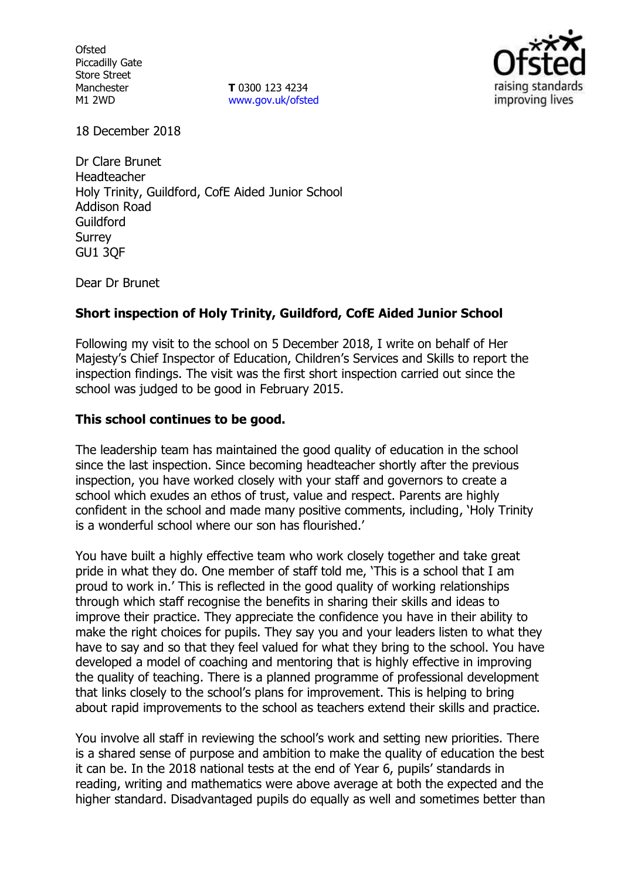**Ofsted** Piccadilly Gate Store Street Manchester M1 2WD

**T** 0300 123 4234 [www.gov.uk/ofsted](http://www.gov.uk/ofsted)



18 December 2018

Dr Clare Brunet Headteacher Holy Trinity, Guildford, CofE Aided Junior School Addison Road Guildford Surrey GU1 3QF

Dear Dr Brunet

## **Short inspection of Holy Trinity, Guildford, CofE Aided Junior School**

Following my visit to the school on 5 December 2018, I write on behalf of Her Majesty's Chief Inspector of Education, Children's Services and Skills to report the inspection findings. The visit was the first short inspection carried out since the school was judged to be good in February 2015.

#### **This school continues to be good.**

The leadership team has maintained the good quality of education in the school since the last inspection. Since becoming headteacher shortly after the previous inspection, you have worked closely with your staff and governors to create a school which exudes an ethos of trust, value and respect. Parents are highly confident in the school and made many positive comments, including, 'Holy Trinity is a wonderful school where our son has flourished.'

You have built a highly effective team who work closely together and take great pride in what they do. One member of staff told me, 'This is a school that I am proud to work in.' This is reflected in the good quality of working relationships through which staff recognise the benefits in sharing their skills and ideas to improve their practice. They appreciate the confidence you have in their ability to make the right choices for pupils. They say you and your leaders listen to what they have to say and so that they feel valued for what they bring to the school. You have developed a model of coaching and mentoring that is highly effective in improving the quality of teaching. There is a planned programme of professional development that links closely to the school's plans for improvement. This is helping to bring about rapid improvements to the school as teachers extend their skills and practice.

You involve all staff in reviewing the school's work and setting new priorities. There is a shared sense of purpose and ambition to make the quality of education the best it can be. In the 2018 national tests at the end of Year 6, pupils' standards in reading, writing and mathematics were above average at both the expected and the higher standard. Disadvantaged pupils do equally as well and sometimes better than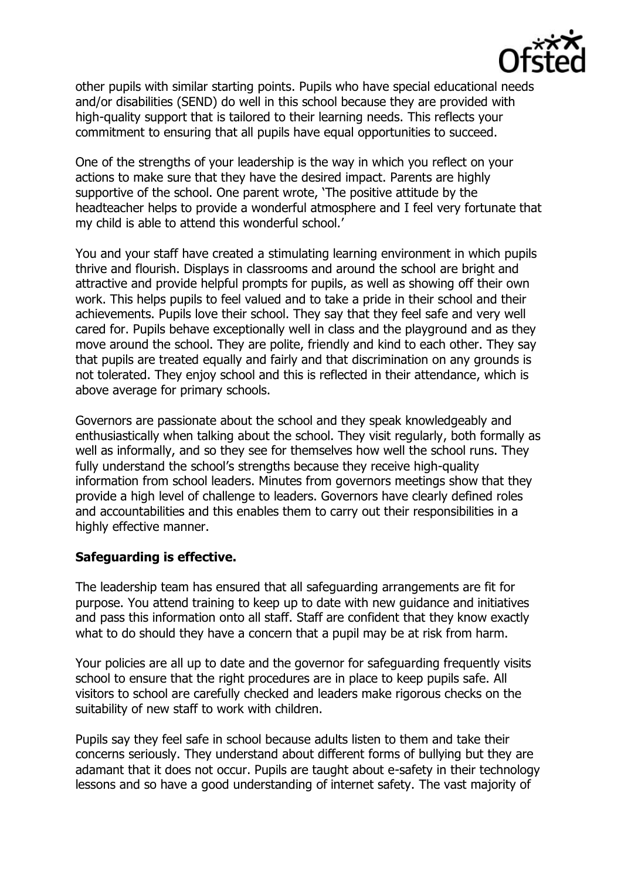

other pupils with similar starting points. Pupils who have special educational needs and/or disabilities (SEND) do well in this school because they are provided with high-quality support that is tailored to their learning needs. This reflects your commitment to ensuring that all pupils have equal opportunities to succeed.

One of the strengths of your leadership is the way in which you reflect on your actions to make sure that they have the desired impact. Parents are highly supportive of the school. One parent wrote, 'The positive attitude by the headteacher helps to provide a wonderful atmosphere and I feel very fortunate that my child is able to attend this wonderful school.'

You and your staff have created a stimulating learning environment in which pupils thrive and flourish. Displays in classrooms and around the school are bright and attractive and provide helpful prompts for pupils, as well as showing off their own work. This helps pupils to feel valued and to take a pride in their school and their achievements. Pupils love their school. They say that they feel safe and very well cared for. Pupils behave exceptionally well in class and the playground and as they move around the school. They are polite, friendly and kind to each other. They say that pupils are treated equally and fairly and that discrimination on any grounds is not tolerated. They enjoy school and this is reflected in their attendance, which is above average for primary schools.

Governors are passionate about the school and they speak knowledgeably and enthusiastically when talking about the school. They visit regularly, both formally as well as informally, and so they see for themselves how well the school runs. They fully understand the school's strengths because they receive high-quality information from school leaders. Minutes from governors meetings show that they provide a high level of challenge to leaders. Governors have clearly defined roles and accountabilities and this enables them to carry out their responsibilities in a highly effective manner.

## **Safeguarding is effective.**

The leadership team has ensured that all safeguarding arrangements are fit for purpose. You attend training to keep up to date with new guidance and initiatives and pass this information onto all staff. Staff are confident that they know exactly what to do should they have a concern that a pupil may be at risk from harm.

Your policies are all up to date and the governor for safeguarding frequently visits school to ensure that the right procedures are in place to keep pupils safe. All visitors to school are carefully checked and leaders make rigorous checks on the suitability of new staff to work with children.

Pupils say they feel safe in school because adults listen to them and take their concerns seriously. They understand about different forms of bullying but they are adamant that it does not occur. Pupils are taught about e-safety in their technology lessons and so have a good understanding of internet safety. The vast majority of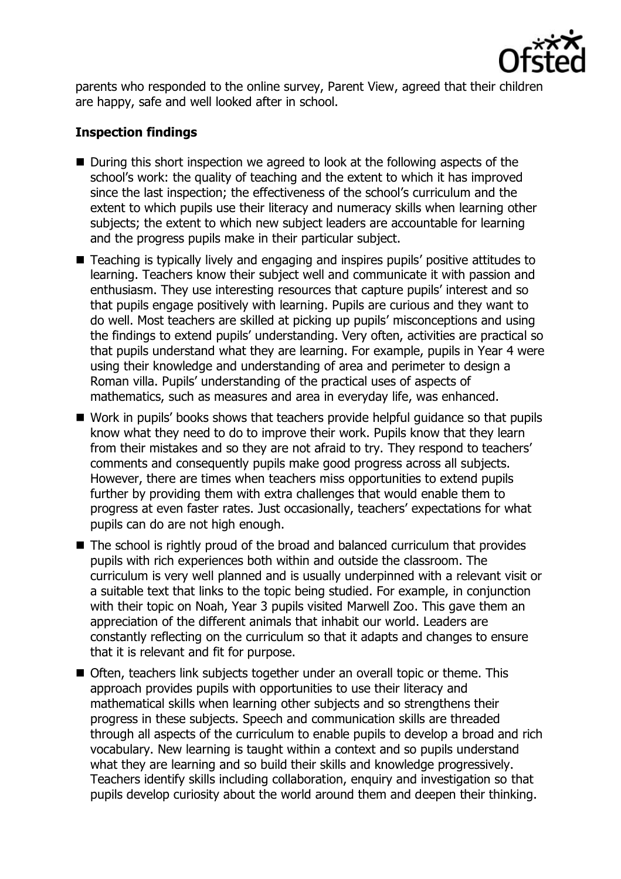

parents who responded to the online survey, Parent View, agreed that their children are happy, safe and well looked after in school.

# **Inspection findings**

- During this short inspection we agreed to look at the following aspects of the school's work: the quality of teaching and the extent to which it has improved since the last inspection; the effectiveness of the school's curriculum and the extent to which pupils use their literacy and numeracy skills when learning other subjects; the extent to which new subject leaders are accountable for learning and the progress pupils make in their particular subject.
- Teaching is typically lively and engaging and inspires pupils' positive attitudes to learning. Teachers know their subject well and communicate it with passion and enthusiasm. They use interesting resources that capture pupils' interest and so that pupils engage positively with learning. Pupils are curious and they want to do well. Most teachers are skilled at picking up pupils' misconceptions and using the findings to extend pupils' understanding. Very often, activities are practical so that pupils understand what they are learning. For example, pupils in Year 4 were using their knowledge and understanding of area and perimeter to design a Roman villa. Pupils' understanding of the practical uses of aspects of mathematics, such as measures and area in everyday life, was enhanced.
- Work in pupils' books shows that teachers provide helpful quidance so that pupils know what they need to do to improve their work. Pupils know that they learn from their mistakes and so they are not afraid to try. They respond to teachers' comments and consequently pupils make good progress across all subjects. However, there are times when teachers miss opportunities to extend pupils further by providing them with extra challenges that would enable them to progress at even faster rates. Just occasionally, teachers' expectations for what pupils can do are not high enough.
- The school is rightly proud of the broad and balanced curriculum that provides pupils with rich experiences both within and outside the classroom. The curriculum is very well planned and is usually underpinned with a relevant visit or a suitable text that links to the topic being studied. For example, in conjunction with their topic on Noah, Year 3 pupils visited Marwell Zoo. This gave them an appreciation of the different animals that inhabit our world. Leaders are constantly reflecting on the curriculum so that it adapts and changes to ensure that it is relevant and fit for purpose.
- Often, teachers link subjects together under an overall topic or theme. This approach provides pupils with opportunities to use their literacy and mathematical skills when learning other subjects and so strengthens their progress in these subjects. Speech and communication skills are threaded through all aspects of the curriculum to enable pupils to develop a broad and rich vocabulary. New learning is taught within a context and so pupils understand what they are learning and so build their skills and knowledge progressively. Teachers identify skills including collaboration, enquiry and investigation so that pupils develop curiosity about the world around them and deepen their thinking.